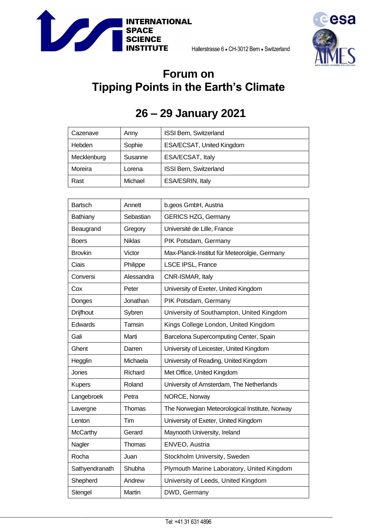



## **Forum on Tipping Points in the Earth's Climate**

## **26 – 29 January 2021**

| Cazenave    | Anny    | ISSI Bern, Switzerland    |
|-------------|---------|---------------------------|
| Hebden      | Sophie  | ESA/ECSAT, United Kingdom |
| Mecklenburg | Susanne | ESA/ECSAT, Italy          |
| Moreira     | Lorena  | ISSI Bern, Switzerland    |
| Rast        | Michael | ESA/ESRIN, Italy          |

| <b>Bartsch</b>   | Annett        | b.geos GmbH, Austria                           |
|------------------|---------------|------------------------------------------------|
| Bathiany         | Sebastian     | <b>GERICS HZG, Germany</b>                     |
| Beaugrand        | Gregory       | Université de Lille, France                    |
| <b>Boers</b>     | <b>Niklas</b> | PIK Potsdam, Germany                           |
| <b>Brovkin</b>   | Victor        | Max-Planck-Institut für Meteorolgie, Germany   |
| Ciais            | Philippe      | LSCE IPSL, France                              |
| Conversi         | Alessandra    | CNR-ISMAR, Italy                               |
| Cox              | Peter         | University of Exeter, United Kingdom           |
| Donges           | Jonathan      | PIK Potsdam, Germany                           |
| <b>Drijfhout</b> | Sybren        | University of Southampton, United Kingdom      |
| Edwards          | Tamsin        | Kings College London, United Kingdom           |
| Gali             | Marti         | Barcelona Supercomputing Center, Spain         |
| Ghent            | Darren        | University of Leicester, United Kingdom        |
| Hegglin          | Michaela      | University of Reading, United Kingdom          |
| Jones            | Richard       | Met Office, United Kingdom                     |
| <b>Kupers</b>    | Roland        | University of Amsterdam, The Netherlands       |
| Langebroek       | Petra         | NORCE, Norway                                  |
| Lavergne         | Thomas        | The Norwegian Meteorological Institute, Norway |
| Lenton           | Tim           | University of Exeter, United Kingdom           |
| <b>McCarthy</b>  | Gerard        | Maynooth University, Ireland                   |
| Nagler           | Thomas        | ENVEO, Austria                                 |
| Rocha            | Juan          | Stockholm University, Sweden                   |
| Sathyendranath   | Shubha        | Plymouth Marine Laboratory, United Kingdom     |
| Shepherd         | Andrew        | University of Leeds, United Kingdom            |
| Stengel          | Martin        | DWD, Germany                                   |
|                  |               |                                                |

\_\_\_\_\_\_\_\_\_\_\_\_\_\_\_\_\_\_\_\_\_\_\_\_\_\_\_\_\_\_\_\_\_\_\_\_\_\_\_\_\_\_\_\_\_\_\_\_\_\_\_\_\_\_\_\_\_\_\_\_\_\_\_\_\_\_\_\_\_\_\_\_\_\_\_\_\_\_\_\_\_\_\_\_\_\_\_\_\_\_\_\_\_\_\_\_\_\_\_\_\_\_\_\_\_\_\_\_\_\_\_\_\_\_\_\_\_\_\_\_\_\_